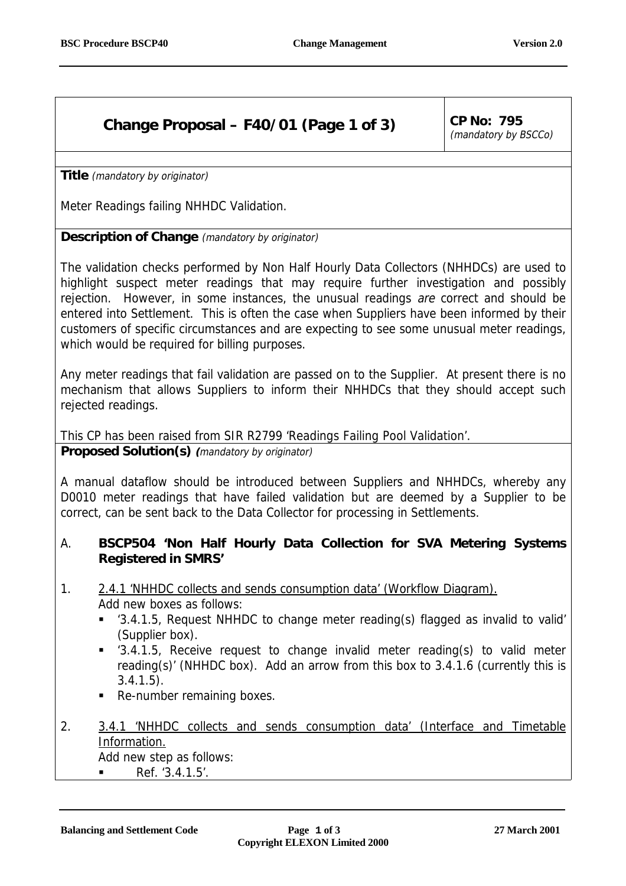# **Change Proposal – F40/01 (Page 1 of 3)** CP No: 795

(mandatory by BSCCo)

**Title** (mandatory by originator)

Meter Readings failing NHHDC Validation.

### **Description of Change** (mandatory by originator)

The validation checks performed by Non Half Hourly Data Collectors (NHHDCs) are used to highlight suspect meter readings that may require further investigation and possibly rejection. However, in some instances, the unusual readings are correct and should be entered into Settlement. This is often the case when Suppliers have been informed by their customers of specific circumstances and are expecting to see some unusual meter readings, which would be required for billing purposes.

Any meter readings that fail validation are passed on to the Supplier. At present there is no mechanism that allows Suppliers to inform their NHHDCs that they should accept such rejected readings.

This CP has been raised from SIR R2799 'Readings Failing Pool Validation'. **Proposed Solution(s) (**mandatory by originator)

A manual dataflow should be introduced between Suppliers and NHHDCs, whereby any D0010 meter readings that have failed validation but are deemed by a Supplier to be correct, can be sent back to the Data Collector for processing in Settlements.

### A. **BSCP504 'Non Half Hourly Data Collection for SVA Metering Systems Registered in SMRS'**

- 1. 2.4.1 'NHHDC collects and sends consumption data' (Workflow Diagram). Add new boxes as follows:
	- ! '3.4.1.5, Request NHHDC to change meter reading(s) flagged as invalid to valid' (Supplier box).
	- $\blacksquare$  '3.4.1.5, Receive request to change invalid meter reading(s) to valid meter reading(s)' (NHHDC box). Add an arrow from this box to 3.4.1.6 (currently this is 3.4.1.5).
	- **Re-number remaining boxes.**
- 2. 3.4.1 'NHHDC collects and sends consumption data' (Interface and Timetable Information.

Add new step as follows:

 $\blacksquare$  Ref. '3.4.1.5'.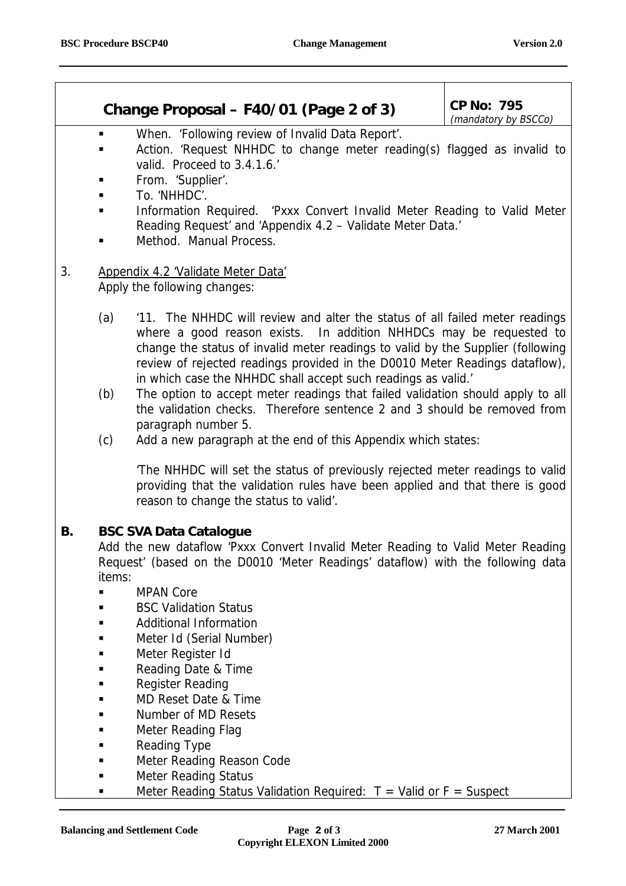## **Change Proposal – F40/01 (Page 2 of 3)** CP No: 795

(mandatory by BSCCo)

- When. 'Following review of Invalid Data Report'.
- ! Action. 'Request NHHDC to change meter reading(s) flagged as invalid to valid. Proceed to 3.4.1.6.'
- From. 'Supplier'.
- ! To. 'NHHDC'.
- Information Required. 'Pxxx Convert Invalid Meter Reading to Valid Meter Reading Request' and 'Appendix 4.2 – Validate Meter Data.'
- Method. Manual Process.
- 3. Appendix 4.2 'Validate Meter Data' Apply the following changes:
	- (a) '11. The NHHDC will review and alter the status of all failed meter readings where a good reason exists. In addition NHHDCs may be requested to change the status of invalid meter readings to valid by the Supplier (following review of rejected readings provided in the D0010 Meter Readings dataflow), in which case the NHHDC shall accept such readings as valid.'
	- (b) The option to accept meter readings that failed validation should apply to all the validation checks. Therefore sentence 2 and 3 should be removed from paragraph number 5.
	- (c) Add a new paragraph at the end of this Appendix which states:

'The NHHDC will set the status of previously rejected meter readings to valid providing that the validation rules have been applied and that there is good reason to change the status to valid'.

### **B. BSC SVA Data Catalogue**

Add the new dataflow 'Pxxx Convert Invalid Meter Reading to Valid Meter Reading Request' (based on the D0010 'Meter Readings' dataflow) with the following data items:

- **I** MPAN Core
- **BSC Validation Status**
- **EXECUTE:** Additional Information
- Meter Id (Serial Number)
- Meter Register Id
- **Example 2** Reading Date & Time
- **Exercister Reading**
- ! MD Reset Date & Time
- Number of MD Resets
- Meter Reading Flag
- Reading Type
- **EXEC** Meter Reading Reason Code
- **E** Meter Reading Status
- **In Exercise 1** Meter Reading Status Validation Required:  $T =$  Valid or  $F =$  Suspect